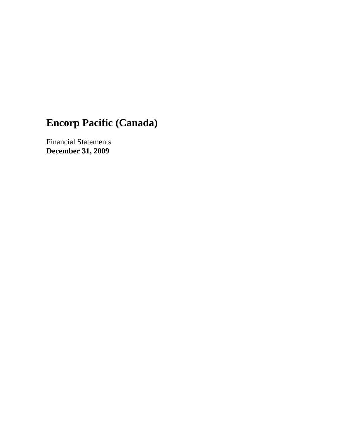# **Encorp Pacific (Canada)**

Financial Statements **December 31, 2009**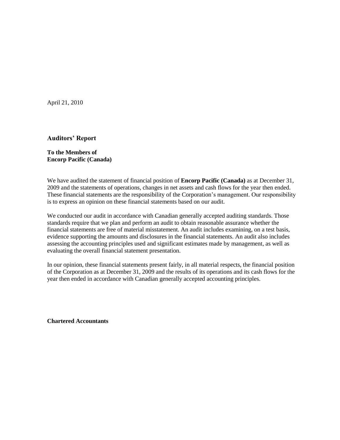April 21, 2010

#### **Auditors' Report**

#### **To the Members of Encorp Pacific (Canada)**

We have audited the statement of financial position of **Encorp Pacific (Canada)** as at December 31, 2009 and the statements of operations, changes in net assets and cash flows for the year then ended. These financial statements are the responsibility of the Corporation's management. Our responsibility is to express an opinion on these financial statements based on our audit.

We conducted our audit in accordance with Canadian generally accepted auditing standards. Those standards require that we plan and perform an audit to obtain reasonable assurance whether the financial statements are free of material misstatement. An audit includes examining, on a test basis, evidence supporting the amounts and disclosures in the financial statements. An audit also includes assessing the accounting principles used and significant estimates made by management, as well as evaluating the overall financial statement presentation.

In our opinion, these financial statements present fairly, in all material respects, the financial position of the Corporation as at December 31, 2009 and the results of its operations and its cash flows for the year then ended in accordance with Canadian generally accepted accounting principles.

**Chartered Accountants**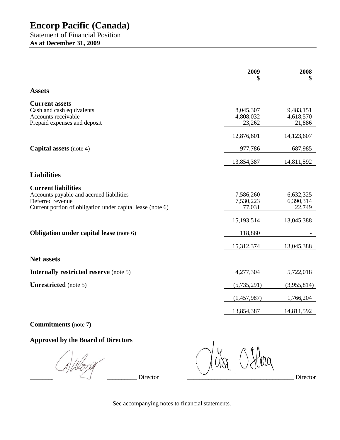**As at December 31, 2009**

|                                                                                                                                                          | 2009<br>\$                       | 2008<br>\$                       |
|----------------------------------------------------------------------------------------------------------------------------------------------------------|----------------------------------|----------------------------------|
| <b>Assets</b>                                                                                                                                            |                                  |                                  |
| <b>Current assets</b><br>Cash and cash equivalents<br>Accounts receivable<br>Prepaid expenses and deposit                                                | 8,045,307<br>4,808,032<br>23,262 | 9,483,151<br>4,618,570<br>21,886 |
|                                                                                                                                                          | 12,876,601                       | 14,123,607                       |
| <b>Capital assets</b> (note 4)                                                                                                                           | 977,786                          | 687,985                          |
|                                                                                                                                                          | 13,854,387                       | 14,811,592                       |
| <b>Liabilities</b>                                                                                                                                       |                                  |                                  |
| <b>Current liabilities</b><br>Accounts payable and accrued liabilities<br>Deferred revenue<br>Current portion of obligation under capital lease (note 6) | 7,586,260<br>7,530,223<br>77,031 | 6,632,325<br>6,390,314<br>22,749 |
|                                                                                                                                                          | 15,193,514                       | 13,045,388                       |
| <b>Obligation under capital lease</b> (note 6)                                                                                                           | 118,860                          |                                  |
|                                                                                                                                                          | 15,312,374                       | 13,045,388                       |
| <b>Net assets</b>                                                                                                                                        |                                  |                                  |
| <b>Internally restricted reserve</b> (note 5)                                                                                                            | 4,277,304                        | 5,722,018                        |
| <b>Unrestricted</b> (note 5)                                                                                                                             | (5,735,291)                      | (3,955,814)                      |
|                                                                                                                                                          | (1,457,987)                      | 1,766,204                        |
|                                                                                                                                                          | 13,854,387                       | 14,811,592                       |

## **Commitments** (note 7)

## **Approved by the Board of Directors**

NWorg \_\_\_\_\_\_\_\_\_\_\_\_\_\_\_\_\_\_\_\_\_\_\_\_\_\_\_\_\_\_\_\_\_\_\_ Director \_\_\_\_\_\_\_\_\_\_\_\_\_\_\_\_\_\_\_\_\_\_\_\_\_\_\_\_\_\_\_\_\_\_\_ Director

Hora

See accompanying notes to financial statements.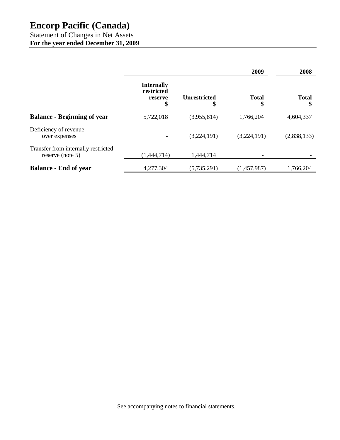## **Encorp Pacific (Canada)**

Statement of Changes in Net Assets **For the year ended December 31, 2009**

|                                                         |                                                  |                           | 2009               | 2008         |
|---------------------------------------------------------|--------------------------------------------------|---------------------------|--------------------|--------------|
|                                                         | <b>Internally</b><br>restricted<br>reserve<br>\$ | <b>Unrestricted</b><br>\$ | <b>Total</b><br>\$ | <b>Total</b> |
| <b>Balance - Beginning of year</b>                      | 5,722,018                                        | (3,955,814)               | 1,766,204          | 4,604,337    |
| Deficiency of revenue<br>over expenses                  |                                                  | (3,224,191)               | (3,224,191)        | (2,838,133)  |
| Transfer from internally restricted<br>reserve (note 5) | (1,444,714)                                      | 1,444,714                 |                    |              |
| <b>Balance - End of year</b>                            | 4,277,304                                        | (5,735,291)               | (1,457,987)        | 1,766,204    |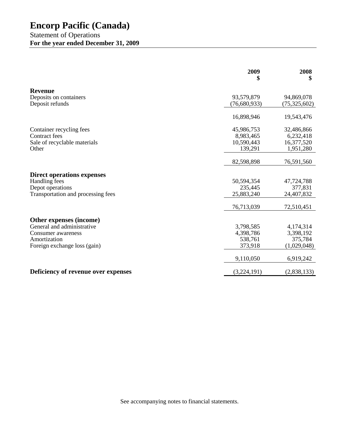|                                     | 2009<br>\$   | 2008<br>\$   |
|-------------------------------------|--------------|--------------|
| <b>Revenue</b>                      |              |              |
| Deposits on containers              | 93,579,879   | 94,869,078   |
| Deposit refunds                     | (76,680,933) | (75,325,602) |
|                                     | 16,898,946   | 19,543,476   |
| Container recycling fees            | 45,986,753   | 32,486,866   |
| Contract fees                       | 8,983,465    | 6,232,418    |
| Sale of recyclable materials        | 10,590,443   | 16,377,520   |
| Other                               | 139,291      | 1,951,280    |
|                                     | 82,598,898   | 76,591,560   |
| <b>Direct operations expenses</b>   |              |              |
| Handling fees                       | 50,594,354   | 47,724,788   |
| Depot operations                    | 235,445      | 377,831      |
| Transportation and processing fees  | 25,883,240   | 24,407,832   |
|                                     | 76,713,039   | 72,510,451   |
| Other expenses (income)             |              |              |
| General and administrative          | 3,798,585    | 4,174,314    |
| Consumer awareness                  | 4,398,786    | 3,398,192    |
| Amortization                        | 538,761      | 375,784      |
| Foreign exchange loss (gain)        | 373,918      | (1,029,048)  |
|                                     | 9,110,050    | 6,919,242    |
| Deficiency of revenue over expenses | (3,224,191)  | (2,838,133)  |

See accompanying notes to financial statements.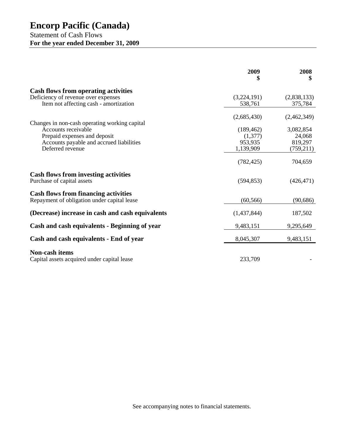## **Encorp Pacific (Canada)**

## Statement of Cash Flows **For the year ended December 31, 2009**

|                                                                                            | 2009<br>\$  | 2008<br>\$  |
|--------------------------------------------------------------------------------------------|-------------|-------------|
| <b>Cash flows from operating activities</b>                                                |             |             |
| Deficiency of revenue over expenses                                                        | (3,224,191) | (2,838,133) |
| Item not affecting cash - amortization                                                     | 538,761     | 375,784     |
|                                                                                            | (2,685,430) | (2,462,349) |
| Changes in non-cash operating working capital                                              |             |             |
| Accounts receivable                                                                        | (189, 462)  | 3,082,854   |
| Prepaid expenses and deposit                                                               | (1,377)     | 24,068      |
| Accounts payable and accrued liabilities                                                   | 953,935     | 819,297     |
| Deferred revenue                                                                           | 1,139,909   | (759,211)   |
|                                                                                            | (782, 425)  | 704,659     |
| <b>Cash flows from investing activities</b><br>Purchase of capital assets                  | (594, 853)  | (426, 471)  |
| <b>Cash flows from financing activities</b><br>Repayment of obligation under capital lease | (60, 566)   | (90, 686)   |
| (Decrease) increase in cash and cash equivalents                                           | (1,437,844) | 187,502     |
| Cash and cash equivalents - Beginning of year                                              | 9,483,151   | 9,295,649   |
| Cash and cash equivalents - End of year                                                    | 8,045,307   | 9,483,151   |
| <b>Non-cash items</b><br>Capital assets acquired under capital lease                       | 233,709     |             |

See accompanying notes to financial statements.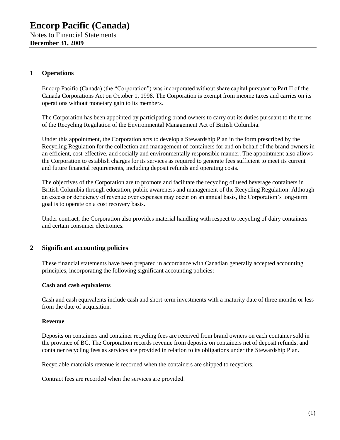#### **1 Operations**

Encorp Pacific (Canada) (the "Corporation") was incorporated without share capital pursuant to Part II of the Canada Corporations Act on October 1, 1998. The Corporation is exempt from income taxes and carries on its operations without monetary gain to its members.

The Corporation has been appointed by participating brand owners to carry out its duties pursuant to the terms of the Recycling Regulation of the Environmental Management Act of British Columbia.

Under this appointment, the Corporation acts to develop a Stewardship Plan in the form prescribed by the Recycling Regulation for the collection and management of containers for and on behalf of the brand owners in an efficient, cost-effective, and socially and environmentally responsible manner. The appointment also allows the Corporation to establish charges for its services as required to generate fees sufficient to meet its current and future financial requirements, including deposit refunds and operating costs.

The objectives of the Corporation are to promote and facilitate the recycling of used beverage containers in British Columbia through education, public awareness and management of the Recycling Regulation. Although an excess or deficiency of revenue over expenses may occur on an annual basis, the Corporation's long-term goal is to operate on a cost recovery basis.

Under contract, the Corporation also provides material handling with respect to recycling of dairy containers and certain consumer electronics.

### **2 Significant accounting policies**

These financial statements have been prepared in accordance with Canadian generally accepted accounting principles, incorporating the following significant accounting policies:

#### **Cash and cash equivalents**

Cash and cash equivalents include cash and short-term investments with a maturity date of three months or less from the date of acquisition.

#### **Revenue**

Deposits on containers and container recycling fees are received from brand owners on each container sold in the province of BC. The Corporation records revenue from deposits on containers net of deposit refunds, and container recycling fees as services are provided in relation to its obligations under the Stewardship Plan.

Recyclable materials revenue is recorded when the containers are shipped to recyclers.

Contract fees are recorded when the services are provided.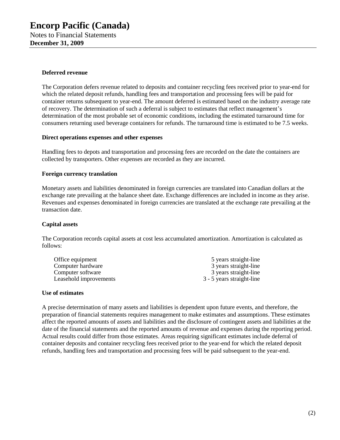#### **Deferred revenue**

The Corporation defers revenue related to deposits and container recycling fees received prior to year-end for which the related deposit refunds, handling fees and transportation and processing fees will be paid for container returns subsequent to year-end. The amount deferred is estimated based on the industry average rate of recovery. The determination of such a deferral is subject to estimates that reflect management's determination of the most probable set of economic conditions, including the estimated turnaround time for consumers returning used beverage containers for refunds. The turnaround time is estimated to be 7.5 weeks.

#### **Direct operations expenses and other expenses**

Handling fees to depots and transportation and processing fees are recorded on the date the containers are collected by transporters. Other expenses are recorded as they are incurred.

#### **Foreign currency translation**

Monetary assets and liabilities denominated in foreign currencies are translated into Canadian dollars at the exchange rate prevailing at the balance sheet date. Exchange differences are included in income as they arise. Revenues and expenses denominated in foreign currencies are translated at the exchange rate prevailing at the transaction date.

#### **Capital assets**

The Corporation records capital assets at cost less accumulated amortization. Amortization is calculated as follows:

| Office equipment       | 5 years straight-line     |
|------------------------|---------------------------|
| Computer hardware      | 3 years straight-line     |
| Computer software      | 3 years straight-line     |
| Leasehold improvements | 3 - 5 years straight-line |

#### **Use of estimates**

A precise determination of many assets and liabilities is dependent upon future events, and therefore, the preparation of financial statements requires management to make estimates and assumptions. These estimates affect the reported amounts of assets and liabilities and the disclosure of contingent assets and liabilities at the date of the financial statements and the reported amounts of revenue and expenses during the reporting period. Actual results could differ from those estimates. Areas requiring significant estimates include deferral of container deposits and container recycling fees received prior to the year-end for which the related deposit refunds, handling fees and transportation and processing fees will be paid subsequent to the year-end.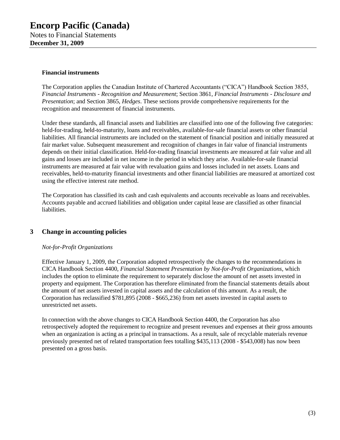#### **Financial instruments**

The Corporation applies the Canadian Institute of Chartered Accountants ("CICA") Handbook Section 3855, *Financial Instruments - Recognition and Measurement*; Section 3861, *Financial Instruments - Disclosure and Presentation*; and Section 3865, *Hedges*. These sections provide comprehensive requirements for the recognition and measurement of financial instruments.

Under these standards, all financial assets and liabilities are classified into one of the following five categories: held-for-trading, held-to-maturity, loans and receivables, available-for-sale financial assets or other financial liabilities. All financial instruments are included on the statement of financial position and initially measured at fair market value. Subsequent measurement and recognition of changes in fair value of financial instruments depends on their initial classification. Held-for-trading financial investments are measured at fair value and all gains and losses are included in net income in the period in which they arise. Available-for-sale financial instruments are measured at fair value with revaluation gains and losses included in net assets. Loans and receivables, held-to-maturity financial investments and other financial liabilities are measured at amortized cost using the effective interest rate method.

The Corporation has classified its cash and cash equivalents and accounts receivable as loans and receivables. Accounts payable and accrued liabilities and obligation under capital lease are classified as other financial liabilities.

#### **3 Change in accounting policies**

#### *Not-for-Profit Organizations*

Effective January 1, 2009, the Corporation adopted retrospectively the changes to the recommendations in CICA Handbook Section 4400, *Financial Statement Presentation by Not-for-Profit Organizations*, which includes the option to eliminate the requirement to separately disclose the amount of net assets invested in property and equipment. The Corporation has therefore eliminated from the financial statements details about the amount of net assets invested in capital assets and the calculation of this amount. As a result, the Corporation has reclassified \$781,895 (2008 - \$665,236) from net assets invested in capital assets to unrestricted net assets.

In connection with the above changes to CICA Handbook Section 4400, the Corporation has also retrospectively adopted the requirement to recognize and present revenues and expenses at their gross amounts when an organization is acting as a principal in transactions. As a result, sale of recyclable materials revenue previously presented net of related transportation fees totalling \$435,113 (2008 - \$543,008) has now been presented on a gross basis.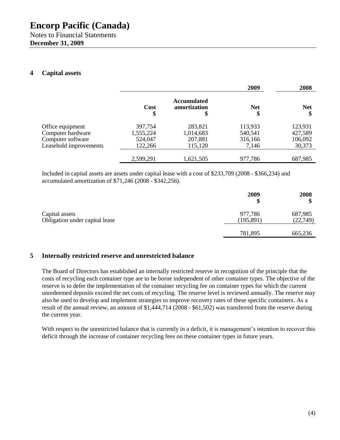#### **4 Capital assets**

|                        |                   |                                         | 2009       | 2008             |
|------------------------|-------------------|-----------------------------------------|------------|------------------|
|                        | <b>Cost</b><br>\$ | <b>Accumulated</b><br>amortization<br>Φ | <b>Net</b> | <b>Net</b><br>\$ |
| Office equipment       | 397,754           | 283,821                                 | 113,933    | 123,931          |
| Computer hardware      | 1,555,224         | 1,014,683                               | 540,541    | 427,589          |
| Computer software      | 524,047           | 207,881                                 | 316,166    | 106,092          |
| Leasehold improvements | 122,266           | 115,120                                 | 7,146      | 30,373           |
|                        | 2,599,291         | 1,621,505                               | 977,786    | 687,985          |

Included in capital assets are assets under capital lease with a cost of \$233,709 (2008 - \$366,234) and accumulated amortization of \$71,246 (2008 - \$342,256).

|                                                  | 2009                  | 2008                |
|--------------------------------------------------|-----------------------|---------------------|
| Capital assets<br>Obligation under capital lease | 977,786<br>(195, 891) | 687,985<br>(22,749) |
|                                                  | 781,895               | 665,236             |

#### **5 Internally restricted reserve and unrestricted balance**

The Board of Directors has established an internally restricted reserve in recognition of the principle that the costs of recycling each container type are to be borne independent of other container types. The objective of the reserve is to defer the implementation of the container recycling fee on container types for which the current unredeemed deposits exceed the net costs of recycling. The reserve level is reviewed annually. The reserve may also be used to develop and implement strategies to improve recovery rates of these specific containers. As a result of the annual review, an amount of \$1,444,714 (2008 - \$61,502) was transferred from the reserve during the current year.

With respect to the unrestricted balance that is currently in a deficit, it is management's intention to recover this deficit through the increase of container recycling fees on these container types in future years.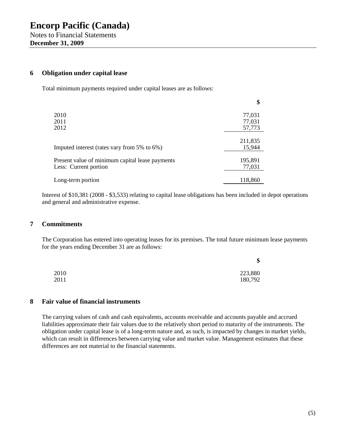#### **6 Obligation under capital lease**

Total minimum payments required under capital leases are as follows:

|                                                 | \$      |
|-------------------------------------------------|---------|
| 2010                                            | 77,031  |
| 2011                                            | 77,031  |
| 2012                                            | 57,773  |
|                                                 | 211,835 |
| Imputed interest (rates vary from 5% to 6%)     | 15,944  |
| Present value of minimum capital lease payments | 195,891 |
| Less: Current portion                           | 77,031  |
| Long-term portion                               | 118,860 |

Interest of \$10,381 (2008 - \$3,533) relating to capital lease obligations has been included in depot operations and general and administrative expense.

#### **7 Commitments**

The Corporation has entered into operating leases for its premises. The total future minimum lease payments for the years ending December 31 are as follows:

|      | Φ<br>ъ  |
|------|---------|
| 2010 | 223,880 |
| 2011 | 180,792 |

#### **8 Fair value of financial instruments**

The carrying values of cash and cash equivalents, accounts receivable and accounts payable and accrued liabilities approximate their fair values due to the relatively short period to maturity of the instruments. The obligation under capital lease is of a long-term nature and, as such, is impacted by changes in market yields, which can result in differences between carrying value and market value. Management estimates that these differences are not material to the financial statements.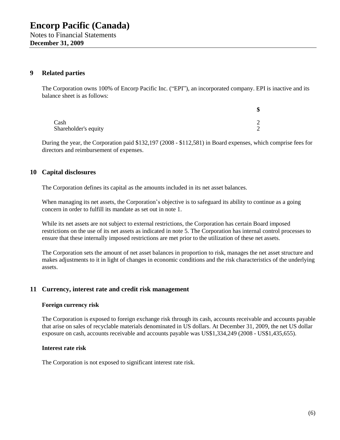#### **9 Related parties**

The Corporation owns 100% of Encorp Pacific Inc. ("EPI"), an incorporated company. EPI is inactive and its balance sheet is as follows:

|                      | \$     |
|----------------------|--------|
| Cash                 | $\sim$ |
| Shareholder's equity | $\sim$ |

During the year, the Corporation paid \$132,197 (2008 - \$112,581) in Board expenses, which comprise fees for directors and reimbursement of expenses.

#### **10 Capital disclosures**

The Corporation defines its capital as the amounts included in its net asset balances.

When managing its net assets, the Corporation's objective is to safeguard its ability to continue as a going concern in order to fulfill its mandate as set out in note 1.

While its net assets are not subject to external restrictions, the Corporation has certain Board imposed restrictions on the use of its net assets as indicated in note 5. The Corporation has internal control processes to ensure that these internally imposed restrictions are met prior to the utilization of these net assets.

The Corporation sets the amount of net asset balances in proportion to risk, manages the net asset structure and makes adjustments to it in light of changes in economic conditions and the risk characteristics of the underlying assets.

#### **11 Currency, interest rate and credit risk management**

#### **Foreign currency risk**

The Corporation is exposed to foreign exchange risk through its cash, accounts receivable and accounts payable that arise on sales of recyclable materials denominated in US dollars. At December 31, 2009, the net US dollar exposure on cash, accounts receivable and accounts payable was US\$1,334,249 (2008 - US\$1,435,655).

#### **Interest rate risk**

The Corporation is not exposed to significant interest rate risk.